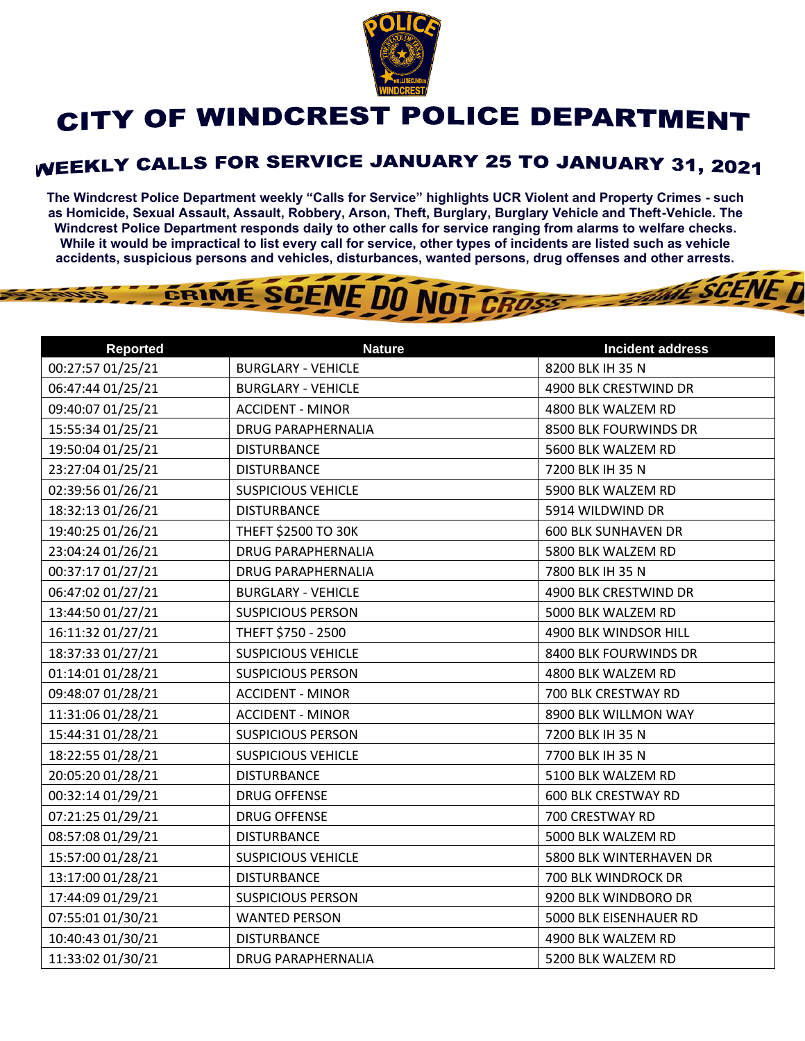

## CITY OF WINDCREST POLICE DEPARTMENT

## **WEEKLY CALLS FOR SERVICE JANUARY 25 TO JANUARY 31, 2021**

**The Windcrest Police Department weekly "Calls for Service" highlights UCR Violent and Property Crimes - such as Homicide, Sexual Assault, Assault, Robbery, Arson, Theft, Burglary, Burglary Vehicle and Theft-Vehicle. The Windcrest Police Department responds daily to other calls for service ranging from alarms to welfare checks. While it would be impractical to list every call for service, other types of incidents are listed such as vehicle accidents, suspicious persons and vehicles, disturbances, wanted persons, drug offenses and other arrests.** 

**GESCENFI** 

## GRIME SCENE DO NOT CROSS

| <b>Reported</b>   | <b>Nature</b>             | <b>Incident address</b>    |
|-------------------|---------------------------|----------------------------|
| 00:27:57 01/25/21 | <b>BURGLARY - VEHICLE</b> | 8200 BLK IH 35 N           |
| 06:47:44 01/25/21 | <b>BURGLARY - VEHICLE</b> | 4900 BLK CRESTWIND DR      |
| 09:40:07 01/25/21 | <b>ACCIDENT - MINOR</b>   | 4800 BLK WALZEM RD         |
| 15:55:34 01/25/21 | <b>DRUG PARAPHERNALIA</b> | 8500 BLK FOURWINDS DR      |
| 19:50:04 01/25/21 | <b>DISTURBANCE</b>        | 5600 BLK WALZEM RD         |
| 23:27:04 01/25/21 | <b>DISTURBANCE</b>        | 7200 BLK IH 35 N           |
| 02:39:56 01/26/21 | <b>SUSPICIOUS VEHICLE</b> | 5900 BLK WALZEM RD         |
| 18:32:13 01/26/21 | <b>DISTURBANCE</b>        | 5914 WILDWIND DR           |
| 19:40:25 01/26/21 | THEFT \$2500 TO 30K       | <b>600 BLK SUNHAVEN DR</b> |
| 23:04:24 01/26/21 | <b>DRUG PARAPHERNALIA</b> | 5800 BLK WALZEM RD         |
| 00:37:17 01/27/21 | <b>DRUG PARAPHERNALIA</b> | 7800 BLK IH 35 N           |
| 06:47:02 01/27/21 | <b>BURGLARY - VEHICLE</b> | 4900 BLK CRESTWIND DR      |
| 13:44:50 01/27/21 | <b>SUSPICIOUS PERSON</b>  | 5000 BLK WALZEM RD         |
| 16:11:32 01/27/21 | THEFT \$750 - 2500        | 4900 BLK WINDSOR HILL      |
| 18:37:33 01/27/21 | <b>SUSPICIOUS VEHICLE</b> | 8400 BLK FOURWINDS DR      |
| 01:14:01 01/28/21 | <b>SUSPICIOUS PERSON</b>  | 4800 BLK WALZEM RD         |
| 09:48:07 01/28/21 | <b>ACCIDENT - MINOR</b>   | 700 BLK CRESTWAY RD        |
| 11:31:06 01/28/21 | <b>ACCIDENT - MINOR</b>   | 8900 BLK WILLMON WAY       |
| 15:44:31 01/28/21 | <b>SUSPICIOUS PERSON</b>  | 7200 BLK IH 35 N           |
| 18:22:55 01/28/21 | <b>SUSPICIOUS VEHICLE</b> | 7700 BLK IH 35 N           |
| 20:05:20 01/28/21 | <b>DISTURBANCE</b>        | 5100 BLK WALZEM RD         |
| 00:32:14 01/29/21 | <b>DRUG OFFENSE</b>       | <b>600 BLK CRESTWAY RD</b> |
| 07:21:25 01/29/21 | <b>DRUG OFFENSE</b>       | 700 CRESTWAY RD            |
| 08:57:08 01/29/21 | <b>DISTURBANCE</b>        | 5000 BLK WALZEM RD         |
| 15:57:00 01/28/21 | <b>SUSPICIOUS VEHICLE</b> | 5800 BLK WINTERHAVEN DR    |
| 13:17:00 01/28/21 | <b>DISTURBANCE</b>        | 700 BLK WINDROCK DR        |
| 17:44:09 01/29/21 | <b>SUSPICIOUS PERSON</b>  | 9200 BLK WINDBORO DR       |
| 07:55:01 01/30/21 | <b>WANTED PERSON</b>      | 5000 BLK EISENHAUER RD     |
| 10:40:43 01/30/21 | <b>DISTURBANCE</b>        | 4900 BLK WALZEM RD         |
| 11:33:02 01/30/21 | <b>DRUG PARAPHERNALIA</b> | 5200 BLK WALZEM RD         |